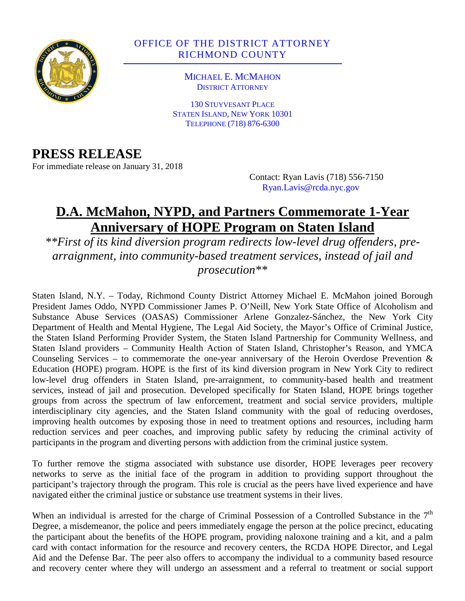

# OFFICE OF THE DISTRICT ATTORNEY RICHMOND COUNTY

MICHAEL E. MCMAHON DISTRICT ATTORNEY

130 STUYVESANT PLACE STATEN ISLAND, NEW YORK 10301 TELEPHONE (718) 876-6300

# **PRESS RELEASE**

For immediate release on January 31, 2018

Contact: Ryan Lavis (718) 556-7150 Ryan.Lavis@rcda.nyc.gov

# **D.A. McMahon, NYPD, and Partners Commemorate 1-Year Anniversary of HOPE Program on Staten Island**

*\*\*First of its kind diversion program redirects low-level drug offenders, prearraignment, into community-based treatment services, instead of jail and prosecution\*\** 

Staten Island, N.Y. – Today, Richmond County District Attorney Michael E. McMahon joined Borough President James Oddo, NYPD Commissioner James P. O'Neill, New York State Office of Alcoholism and Substance Abuse Services (OASAS) Commissioner Arlene Gonzalez-Sánchez, the New York City Department of Health and Mental Hygiene, The Legal Aid Society, the Mayor's Office of Criminal Justice, the Staten Island Performing Provider System, the Staten Island Partnership for Community Wellness, and Staten Island providers – Community Health Action of Staten Island, Christopher's Reason, and YMCA Counseling Services – to commemorate the one-year anniversary of the Heroin Overdose Prevention  $\&$ Education (HOPE) program. HOPE is the first of its kind diversion program in New York City to redirect low-level drug offenders in Staten Island, pre-arraignment, to community-based health and treatment services, instead of jail and prosecution. Developed specifically for Staten Island, HOPE brings together groups from across the spectrum of law enforcement, treatment and social service providers, multiple interdisciplinary city agencies, and the Staten Island community with the goal of reducing overdoses, improving health outcomes by exposing those in need to treatment options and resources, including harm reduction services and peer coaches, and improving public safety by reducing the criminal activity of participants in the program and diverting persons with addiction from the criminal justice system.

To further remove the stigma associated with substance use disorder, HOPE leverages peer recovery networks to serve as the initial face of the program in addition to providing support throughout the participant's trajectory through the program. This role is crucial as the peers have lived experience and have navigated either the criminal justice or substance use treatment systems in their lives.

When an individual is arrested for the charge of Criminal Possession of a Controlled Substance in the  $7<sup>th</sup>$ Degree, a misdemeanor, the police and peers immediately engage the person at the police precinct, educating the participant about the benefits of the HOPE program, providing naloxone training and a kit, and a palm card with contact information for the resource and recovery centers, the RCDA HOPE Director, and Legal Aid and the Defense Bar. The peer also offers to accompany the individual to a community based resource and recovery center where they will undergo an assessment and a referral to treatment or social support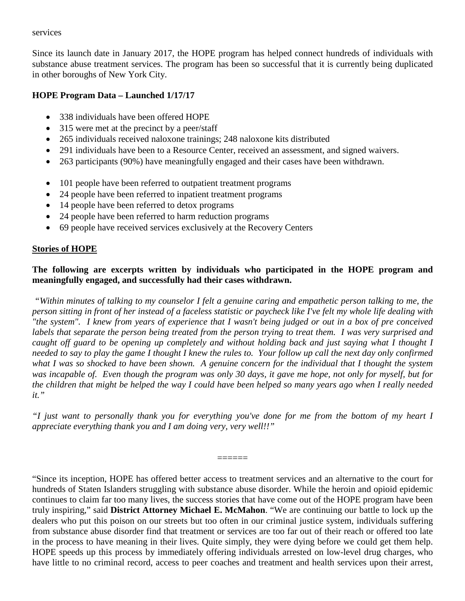#### services

Since its launch date in January 2017, the HOPE program has helped connect hundreds of individuals with substance abuse treatment services. The program has been so successful that it is currently being duplicated in other boroughs of New York City.

### **HOPE Program Data – Launched 1/17/17**

- 338 individuals have been offered HOPE
- 315 were met at the precinct by a peer/staff
- 265 individuals received naloxone trainings; 248 naloxone kits distributed
- 291 individuals have been to a Resource Center, received an assessment, and signed waivers.
- 263 participants (90%) have meaningfully engaged and their cases have been withdrawn.
- 101 people have been referred to outpatient treatment programs
- 24 people have been referred to inpatient treatment programs
- 14 people have been referred to detox programs
- 24 people have been referred to harm reduction programs
- 69 people have received services exclusively at the Recovery Centers

## **Stories of HOPE**

## **The following are excerpts written by individuals who participated in the HOPE program and meaningfully engaged, and successfully had their cases withdrawn.**

*"Within minutes of talking to my counselor I felt a genuine caring and empathetic person talking to me, the person sitting in front of her instead of a faceless statistic or paycheck like I've felt my whole life dealing with "the system". I knew from years of experience that I wasn't being judged or out in a box of pre conceived labels that separate the person being treated from the person trying to treat them. I was very surprised and caught off guard to be opening up completely and without holding back and just saying what I thought I needed to say to play the game I thought I knew the rules to. Your follow up call the next day only confirmed what I was so shocked to have been shown. A genuine concern for the individual that I thought the system was incapable of. Even though the program was only 30 days, it gave me hope, not only for myself, but for the children that might be helped the way I could have been helped so many years ago when I really needed it."* 

*"I just want to personally thank you for everything you've done for me from the bottom of my heart I appreciate everything thank you and I am doing very, very well!!"* 

======

"Since its inception, HOPE has offered better access to treatment services and an alternative to the court for hundreds of Staten Islanders struggling with substance abuse disorder. While the heroin and opioid epidemic continues to claim far too many lives, the success stories that have come out of the HOPE program have been truly inspiring," said **District Attorney Michael E. McMahon**. "We are continuing our battle to lock up the dealers who put this poison on our streets but too often in our criminal justice system, individuals suffering from substance abuse disorder find that treatment or services are too far out of their reach or offered too late in the process to have meaning in their lives. Quite simply, they were dying before we could get them help. HOPE speeds up this process by immediately offering individuals arrested on low-level drug charges, who have little to no criminal record, access to peer coaches and treatment and health services upon their arrest,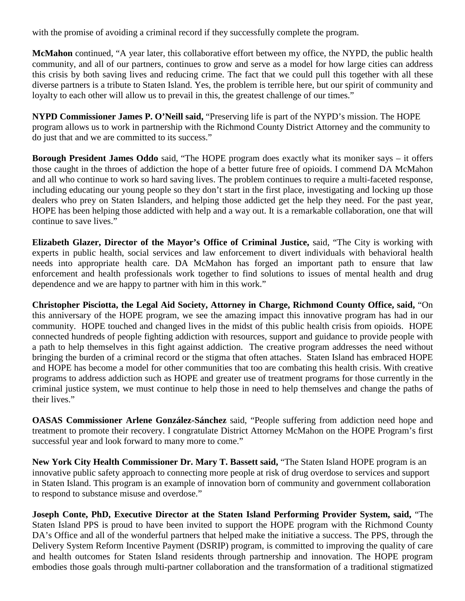with the promise of avoiding a criminal record if they successfully complete the program.

**McMahon** continued, "A year later, this collaborative effort between my office, the NYPD, the public health community, and all of our partners, continues to grow and serve as a model for how large cities can address this crisis by both saving lives and reducing crime. The fact that we could pull this together with all these diverse partners is a tribute to Staten Island. Yes, the problem is terrible here, but our spirit of community and loyalty to each other will allow us to prevail in this, the greatest challenge of our times."

**NYPD Commissioner James P. O'Neill said,** "Preserving life is part of the NYPD's mission. The HOPE program allows us to work in partnership with the Richmond County District Attorney and the community to do just that and we are committed to its success."

**Borough President James Oddo** said, "The HOPE program does exactly what its moniker says – it offers those caught in the throes of addiction the hope of a better future free of opioids. I commend DA McMahon and all who continue to work so hard saving lives. The problem continues to require a multi-faceted response, including educating our young people so they don't start in the first place, investigating and locking up those dealers who prey on Staten Islanders, and helping those addicted get the help they need. For the past year, HOPE has been helping those addicted with help and a way out. It is a remarkable collaboration, one that will continue to save lives."

**Elizabeth Glazer, Director of the Mayor's Office of Criminal Justice,** said, "The City is working with experts in public health, social services and law enforcement to divert individuals with behavioral health needs into appropriate health care. DA McMahon has forged an important path to ensure that law enforcement and health professionals work together to find solutions to issues of mental health and drug dependence and we are happy to partner with him in this work."

**Christopher Pisciotta, the Legal Aid Society, Attorney in Charge, Richmond County Office, said,** "On this anniversary of the HOPE program, we see the amazing impact this innovative program has had in our community. HOPE touched and changed lives in the midst of this public health crisis from opioids. HOPE connected hundreds of people fighting addiction with resources, support and guidance to provide people with a path to help themselves in this fight against addiction. The creative program addresses the need without bringing the burden of a criminal record or the stigma that often attaches. Staten Island has embraced HOPE and HOPE has become a model for other communities that too are combating this health crisis. With creative programs to address addiction such as HOPE and greater use of treatment programs for those currently in the criminal justice system, we must continue to help those in need to help themselves and change the paths of their lives."

**OASAS Commissioner Arlene González-Sánchez** said, "People suffering from addiction need hope and treatment to promote their recovery. I congratulate District Attorney McMahon on the HOPE Program's first successful year and look forward to many more to come."

**New York City Health Commissioner Dr. Mary T. Bassett said,** "The Staten Island HOPE program is an innovative public safety approach to connecting more people at risk of drug overdose to services and support in Staten Island. This program is an example of innovation born of community and government collaboration to respond to substance misuse and overdose."

**Joseph Conte, PhD, Executive Director at the Staten Island Performing Provider System, said,** "The Staten Island PPS is proud to have been invited to support the HOPE program with the Richmond County DA's Office and all of the wonderful partners that helped make the initiative a success. The PPS, through the Delivery System Reform Incentive Payment (DSRIP) program, is committed to improving the quality of care and health outcomes for Staten Island residents through partnership and innovation. The HOPE program embodies those goals through multi-partner collaboration and the transformation of a traditional stigmatized